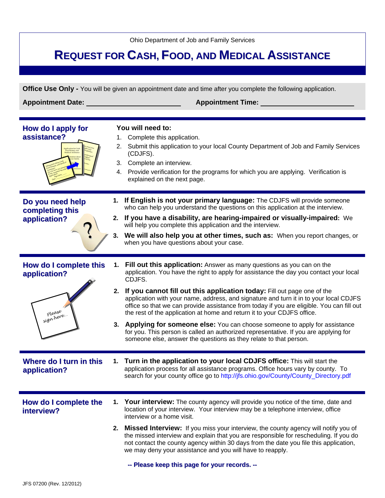Ohio Department of Job and Family Services

## **REQUEST FOR CASH, FOOD, AND MEDICAL ASSISTANCE**

**Office Use Only -** You will be given an appointment date and time after you complete the following application.

**Appointment Date: Appointment Time:** 

| How do I apply for<br>assistance?                              | 1.<br>2. | You will need to:<br>Complete this application.<br>Submit this application to your local County Department of Job and Family Services<br>(CDJFS).<br>3. Complete an interview.<br>4. Provide verification for the programs for which you are applying. Verification is<br>explained on the next page.                                                                                                                                                                                                                                                                                                                                                                                                                                                              |
|----------------------------------------------------------------|----------|--------------------------------------------------------------------------------------------------------------------------------------------------------------------------------------------------------------------------------------------------------------------------------------------------------------------------------------------------------------------------------------------------------------------------------------------------------------------------------------------------------------------------------------------------------------------------------------------------------------------------------------------------------------------------------------------------------------------------------------------------------------------|
| Do you need help<br>completing this<br>application?            | 1.<br>3. | If English is not your primary language: The CDJFS will provide someone<br>who can help you understand the questions on this application at the interview.<br>2. If you have a disability, are hearing-impaired or visually-impaired: We<br>will help you complete this application and the interview.<br>We will also help you at other times, such as: When you report changes, or<br>when you have questions about your case.                                                                                                                                                                                                                                                                                                                                   |
| How do I complete this<br>application?<br>please<br>sign here. | 1.<br>3. | Fill out this application: Answer as many questions as you can on the<br>application. You have the right to apply for assistance the day you contact your local<br>CDJFS.<br>2. If you cannot fill out this application today: Fill out page one of the<br>application with your name, address, and signature and turn it in to your local CDJFS<br>office so that we can provide assistance from today if you are eligible. You can fill out<br>the rest of the application at home and return it to your CDJFS office.<br>Applying for someone else: You can choose someone to apply for assistance<br>for you. This person is called an authorized representative. If you are applying for<br>someone else, answer the questions as they relate to that person. |
| Where do I turn in this<br>application?                        |          | 1. Turn in the application to your local CDJFS office: This will start the<br>application process for all assistance programs. Office hours vary by county. To<br>search for your county office go to http://jfs.ohio.gov/County/County_Directory.pdf                                                                                                                                                                                                                                                                                                                                                                                                                                                                                                              |
| How do I complete the<br>interview?                            |          | <b>Your interview:</b> The county agency will provide you notice of the time, date and<br>location of your interview. Your interview may be a telephone interview, office<br>interview or a home visit.<br>2. Missed Interview: If you miss your interview, the county agency will notify you of<br>the missed interview and explain that you are responsible for rescheduling. If you do<br>not contact the county agency within 30 days from the date you file this application,<br>we may deny your assistance and you will have to reapply.<br>-- Please keep this page for your records. --                                                                                                                                                                   |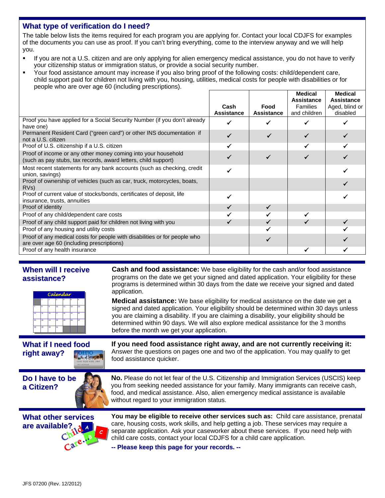## **What type of verification do I need?**

The table below lists the items required for each program you are applying for. Contact your local CDJFS for examples of the documents you can use as proof. If you can't bring everything, come to the interview anyway and we will help you.

- If you are not a U.S. citizen and are only applying for alien emergency medical assistance, you do not have to verify your citizenship status or immigration status, or provide a social security number.
- Your food assistance amount may increase if you also bring proof of the following costs: child/dependent care, child support paid for children not living with you, housing, utilities, medical costs for people with disabilities or for people who are over age 60 (including prescriptions).

|                                                                                                                                 |                   |                   | <b>Medical</b><br>Assistance | <b>Medical</b><br>Assistance |
|---------------------------------------------------------------------------------------------------------------------------------|-------------------|-------------------|------------------------------|------------------------------|
|                                                                                                                                 | Cash              | Food              | <b>Families</b>              | Aged, blind or               |
|                                                                                                                                 | <b>Assistance</b> | <b>Assistance</b> | and children                 | disabled                     |
| Proof you have applied for a Social Security Number (if you don't already<br>have one)                                          |                   |                   |                              |                              |
| Permanent Resident Card ("green card") or other INS documentation if<br>not a U.S. citizen                                      |                   |                   |                              |                              |
| Proof of U.S. citizenship if a U.S. citizen                                                                                     |                   |                   |                              |                              |
| Proof of income or any other money coming into your household<br>(such as pay stubs, tax records, award letters, child support) |                   |                   |                              |                              |
| Most recent statements for any bank accounts (such as checking, credit<br>union, savings)                                       |                   |                   |                              |                              |
| Proof of ownership of vehicles (such as car, truck, motorcycles, boats,<br>RV <sub>s</sub> )                                    |                   |                   |                              |                              |
| Proof of current value of stocks/bonds, certificates of deposit, life<br>insurance, trusts, annuities                           |                   |                   |                              |                              |
| Proof of identity                                                                                                               |                   | ✓                 |                              |                              |
| Proof of any child/dependent care costs                                                                                         |                   |                   |                              |                              |
| Proof of any child support paid for children not living with you                                                                |                   |                   |                              |                              |
| Proof of any housing and utility costs                                                                                          |                   |                   |                              |                              |
| Proof of any medical costs for people with disabilities or for people who<br>are over age 60 (including prescriptions)          |                   |                   |                              |                              |
| Proof of any health insurance                                                                                                   |                   |                   |                              |                              |

## **When will I receive assistance?**

| Calendar |    |                         |    |    |    |    |
|----------|----|-------------------------|----|----|----|----|
|          | ٠  | $\overline{\mathbf{2}}$ | 3  | 4  | 5  | 6  |
| 7        | ×  | ٩                       | 10 | 11 | 12 | 13 |
| 14       | 15 | 16                      | 17 | 18 | 19 | 20 |
| 21       | 22 | 23                      | 24 | 25 | 26 | 27 |
| 28       | 29 | 30                      | 31 |    |    |    |

**Cash and food assistance:** We base eligibility for the cash and/or food assistance programs on the date we get your signed and dated application. Your eligibility for these programs is determined within 30 days from the date we receive your signed and dated application.

**Medical assistance:** We base eligibility for medical assistance on the date we get a signed and dated application. Your eligibility should be determined within 30 days unless you are claiming a disability. If you are claiming a disability, your eligibility should be determined within 90 days. We will also explore medical assistance for the 3 months before the month we get your application.

## **What if I need food right away?**

**If you need food assistance right away, and are not currently receiving it:** Answer the questions on pages one and two of the application. You may qualify to get food assistance quicker.



**No.** Please do not let fear of the U.S. Citizenship and Immigration Services (USCIS) keep you from seeking needed assistance for your family. Many immigrants can receive cash, food, and medical assistance. Also, alien emergency medical assistance is available without regard to your immigration status.



**You may be eligible to receive other services such as:** Child care assistance, prenatal care, housing costs, work skills, and help getting a job. These services may require a separate application. Ask your caseworker about these services. If you need help with child care costs, contact your local CDJFS for a child care application.

**--Please keep thispageforyourrecords.--**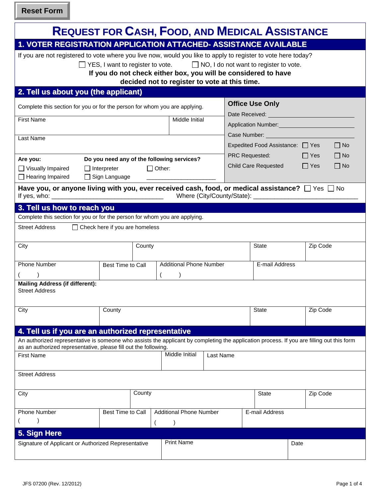**Reset Form**

|                                                                                                                                                                                                              |                                         | <b>REQUEST FOR CASH, FOOD, AND MEDICAL ASSISTANCE</b>                                                           |                                                               |                             |                                                                                                                                                                                                                                        |
|--------------------------------------------------------------------------------------------------------------------------------------------------------------------------------------------------------------|-----------------------------------------|-----------------------------------------------------------------------------------------------------------------|---------------------------------------------------------------|-----------------------------|----------------------------------------------------------------------------------------------------------------------------------------------------------------------------------------------------------------------------------------|
| 1. VOTER REGISTRATION APPLICATION ATTACHED- ASSISTANCE AVAILABLE                                                                                                                                             |                                         |                                                                                                                 |                                                               |                             |                                                                                                                                                                                                                                        |
| If you are not registered to vote where you live now, would you like to apply to register to vote here today?                                                                                                | $\Box$ YES, I want to register to vote. | If you do not check either box, you will be considered to have<br>decided not to register to vote at this time. | $\Box$ NO, I do not want to register to vote.                 |                             |                                                                                                                                                                                                                                        |
| 2. Tell us about you (the applicant)                                                                                                                                                                         |                                         |                                                                                                                 |                                                               |                             |                                                                                                                                                                                                                                        |
| Complete this section for you or for the person for whom you are applying.<br><b>First Name</b>                                                                                                              |                                         | Middle Initial                                                                                                  | <b>Office Use Only</b>                                        |                             | Application Number:<br><u>Letter and the set of the set of the set of the set of the set of the set of the set of the set of the set of the set of the set of the set of the set of the set of the set of the set of the set of th</u> |
| Last Name                                                                                                                                                                                                    |                                         |                                                                                                                 | Expedited Food Assistance: □ Yes<br><b>PRC Requested: PRC</b> |                             | $\Box$ No                                                                                                                                                                                                                              |
| Do you need any of the following services?<br>Are you:<br>$\Box$ Other:<br>$\Box$ Visually Impaired<br>$\Box$ Interpreter<br>$\Box$ Hearing Impaired<br>$\Box$ Sign Language                                 |                                         |                                                                                                                 |                                                               | <b>Child Care Requested</b> | $\Box$ Yes<br>$\Box$ No<br>$\Box$ Yes<br>$\Box$ No                                                                                                                                                                                     |
| Have you, or anyone living with you, ever received cash, food, or medical assistance? $\Box$ Yes $\Box$ No                                                                                                   |                                         |                                                                                                                 |                                                               |                             |                                                                                                                                                                                                                                        |
| 3. Tell us how to reach you                                                                                                                                                                                  |                                         |                                                                                                                 |                                                               |                             |                                                                                                                                                                                                                                        |
| Complete this section for you or for the person for whom you are applying.                                                                                                                                   |                                         |                                                                                                                 |                                                               |                             |                                                                                                                                                                                                                                        |
| <b>Street Address</b>                                                                                                                                                                                        | $\Box$ Check here if you are homeless   |                                                                                                                 |                                                               |                             |                                                                                                                                                                                                                                        |
| City                                                                                                                                                                                                         | County                                  |                                                                                                                 | State                                                         |                             | Zip Code                                                                                                                                                                                                                               |
| <b>Phone Number</b>                                                                                                                                                                                          | Best Time to Call                       | <b>Additional Phone Number</b>                                                                                  |                                                               | E-mail Address              |                                                                                                                                                                                                                                        |
| <b>Mailing Address (if different):</b><br><b>Street Address</b>                                                                                                                                              |                                         |                                                                                                                 |                                                               |                             |                                                                                                                                                                                                                                        |
| City                                                                                                                                                                                                         | County                                  |                                                                                                                 | <b>State</b>                                                  |                             | Zip Code                                                                                                                                                                                                                               |
| 4. Tell us if you are an authorized representative                                                                                                                                                           |                                         |                                                                                                                 |                                                               |                             |                                                                                                                                                                                                                                        |
| An authorized representative is someone who assists the applicant by completing the application process. If you are filling out this form<br>as an authorized representative, please fill out the following. |                                         |                                                                                                                 |                                                               |                             |                                                                                                                                                                                                                                        |
| <b>First Name</b>                                                                                                                                                                                            |                                         | Middle Initial<br>Last Name                                                                                     |                                                               |                             |                                                                                                                                                                                                                                        |
| <b>Street Address</b>                                                                                                                                                                                        |                                         |                                                                                                                 |                                                               |                             |                                                                                                                                                                                                                                        |
| City                                                                                                                                                                                                         | County                                  |                                                                                                                 |                                                               | <b>State</b>                | Zip Code                                                                                                                                                                                                                               |
| <b>Phone Number</b>                                                                                                                                                                                          | <b>Best Time to Call</b>                | <b>Additional Phone Number</b>                                                                                  |                                                               | E-mail Address              |                                                                                                                                                                                                                                        |
|                                                                                                                                                                                                              |                                         |                                                                                                                 |                                                               |                             |                                                                                                                                                                                                                                        |
| 5. Sign Here                                                                                                                                                                                                 |                                         |                                                                                                                 |                                                               |                             |                                                                                                                                                                                                                                        |
| Signature of Applicant or Authorized Representative                                                                                                                                                          |                                         | <b>Print Name</b>                                                                                               |                                                               |                             | Date                                                                                                                                                                                                                                   |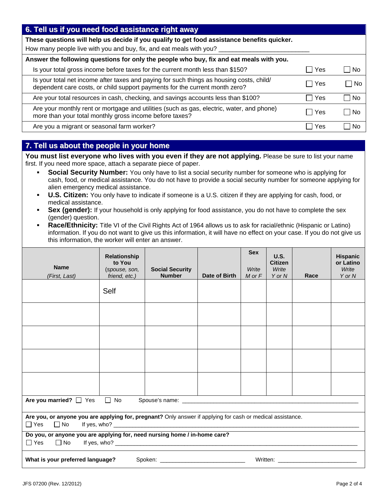| 6. Tell us if you need food assistance right away                                                                                                                       |       |                        |
|-------------------------------------------------------------------------------------------------------------------------------------------------------------------------|-------|------------------------|
| These questions will help us decide if you qualify to get food assistance benefits quicker.                                                                             |       |                        |
| How many people live with you and buy, fix, and eat meals with you?                                                                                                     |       |                        |
| Answer the following questions for only the people who buy, fix and eat meals with you.                                                                                 |       |                        |
| Is your total gross income before taxes for the current month less than \$150?                                                                                          | Yes   | l No<br>$\blacksquare$ |
| Is your total net income after taxes and paying for such things as housing costs, child/<br>dependent care costs, or child support payments for the current month zero? | □ Yes | – I No                 |
| Are your total resources in cash, checking, and savings accounts less than \$100?                                                                                       | l Yes | No                     |
| Are your monthly rent or mortgage and utilities (such as gas, electric, water, and phone)<br>more than your total monthly gross income before taxes?                    | l Yes | <b>No</b>              |
| Are you a migrant or seasonal farm worker?                                                                                                                              | Yes   | Nο                     |

## **7. Tell us about the people in your home**

You must list everyone who lives with you even if they are not applying. Please be sure to list your name first. If you need more space, attach a separate piece of paper.

- **Social Security Number:** You only have to list a social security number for someone who is applying for cash, food, or medical assistance. You do not have to provide a social security number for someone applying for alien emergency medical assistance.
- **U.S. Citizen:** You only have to indicate if someone is a U.S. citizen if they are applying for cash, food, or medical assistance.
- **Sex (gender):** If your household is only applying for food assistance, you do not have to complete the sex (gender) question.
- **Race/Ethnicity:** Title VI of the Civil Rights Act of 1964 allows us to ask for racial/ethnic (Hispanic or Latino) information. If you do not want to give us this information, it will have no effect on your case. If you do not give us this information, the worker will enter an answer.

| <b>Name</b><br>(First, Last)                                                                                                                                                                                                  | <b>Relationship</b><br>to You<br>(spouse, son,<br>friend, etc.)           | <b>Social Security</b><br><b>Number</b> | Date of Birth | <b>Sex</b><br>Write<br>$M$ or $F$ | U.S.<br><b>Citizen</b><br>Write<br>Y or N | Race | <b>Hispanic</b><br>or Latino<br>Write<br>Y or N |
|-------------------------------------------------------------------------------------------------------------------------------------------------------------------------------------------------------------------------------|---------------------------------------------------------------------------|-----------------------------------------|---------------|-----------------------------------|-------------------------------------------|------|-------------------------------------------------|
|                                                                                                                                                                                                                               | Self                                                                      |                                         |               |                                   |                                           |      |                                                 |
|                                                                                                                                                                                                                               |                                                                           |                                         |               |                                   |                                           |      |                                                 |
|                                                                                                                                                                                                                               |                                                                           |                                         |               |                                   |                                           |      |                                                 |
|                                                                                                                                                                                                                               |                                                                           |                                         |               |                                   |                                           |      |                                                 |
|                                                                                                                                                                                                                               |                                                                           |                                         |               |                                   |                                           |      |                                                 |
| $\Box$ No<br>Are you married? $\Box$ Yes                                                                                                                                                                                      |                                                                           |                                         |               |                                   |                                           |      |                                                 |
| Are you, or anyone you are applying for, pregnant? Only answer if applying for cash or medical assistance.<br>$\Box$ Yes<br>$\Box$ No                                                                                         |                                                                           |                                         |               |                                   |                                           |      |                                                 |
| $\Box$ Yes $\Box$ No                                                                                                                                                                                                          | Do you, or anyone you are applying for, need nursing home / in-home care? |                                         |               |                                   |                                           |      |                                                 |
| Written: when the contract of the contract of the contract of the contract of the contract of the contract of the contract of the contract of the contract of the contract of the contract of the contract of the contract of |                                                                           |                                         |               |                                   |                                           |      |                                                 |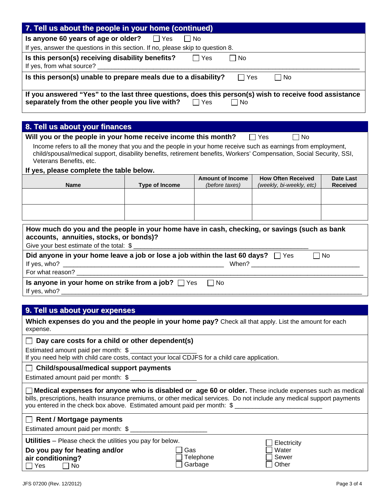| 7. Tell us about the people in your home (continued)                                                                                                                                                                                                                                                                                                                         |                         |                                           |                                                       |                                     |  |  |  |  |
|------------------------------------------------------------------------------------------------------------------------------------------------------------------------------------------------------------------------------------------------------------------------------------------------------------------------------------------------------------------------------|-------------------------|-------------------------------------------|-------------------------------------------------------|-------------------------------------|--|--|--|--|
| Is anyone 60 years of age or older?                                                                                                                                                                                                                                                                                                                                          | $\Box$ Yes<br>$\Box$ No |                                           |                                                       |                                     |  |  |  |  |
| If yes, answer the questions in this section. If no, please skip to question 8.                                                                                                                                                                                                                                                                                              |                         |                                           |                                                       |                                     |  |  |  |  |
| Is this person(s) receiving disability benefits?                                                                                                                                                                                                                                                                                                                             |                         | $\Box$ Yes<br>No                          |                                                       |                                     |  |  |  |  |
| If yes, from what source?                                                                                                                                                                                                                                                                                                                                                    |                         |                                           |                                                       |                                     |  |  |  |  |
| Is this person(s) unable to prepare meals due to a disability?                                                                                                                                                                                                                                                                                                               |                         | $\Box$ Yes                                | <b>No</b>                                             |                                     |  |  |  |  |
| If you answered "Yes" to the last three questions, does this person(s) wish to receive food assistance                                                                                                                                                                                                                                                                       |                         |                                           |                                                       |                                     |  |  |  |  |
| separately from the other people you live with? □ Yes                                                                                                                                                                                                                                                                                                                        |                         | l INo                                     |                                                       |                                     |  |  |  |  |
| 8. Tell us about your finances                                                                                                                                                                                                                                                                                                                                               |                         |                                           |                                                       |                                     |  |  |  |  |
| Will you or the people in your home receive income this month?                                                                                                                                                                                                                                                                                                               |                         |                                           | ∣ Yes<br>No                                           |                                     |  |  |  |  |
| Income refers to all the money that you and the people in your home receive such as earnings from employment,<br>child/spousal/medical support, disability benefits, retirement benefits, Workers' Compensation, Social Security, SSI,<br>Veterans Benefits, etc.                                                                                                            |                         |                                           |                                                       |                                     |  |  |  |  |
| If yes, please complete the table below.                                                                                                                                                                                                                                                                                                                                     |                         |                                           |                                                       |                                     |  |  |  |  |
| <b>Name</b>                                                                                                                                                                                                                                                                                                                                                                  | <b>Type of Income</b>   | <b>Amount of Income</b><br>(before taxes) | <b>How Often Received</b><br>(weekly, bi-weekly, etc) | <b>Date Last</b><br><b>Received</b> |  |  |  |  |
|                                                                                                                                                                                                                                                                                                                                                                              |                         |                                           |                                                       |                                     |  |  |  |  |
|                                                                                                                                                                                                                                                                                                                                                                              |                         |                                           |                                                       |                                     |  |  |  |  |
|                                                                                                                                                                                                                                                                                                                                                                              |                         |                                           |                                                       |                                     |  |  |  |  |
| How much do you and the people in your home have in cash, checking, or savings (such as bank<br>accounts, annuities, stocks, or bonds)?<br>Give your best estimate of the total: \$<br>Did anyone in your home leave a job or lose a job within the last 60 days? $\Box$ Yes<br>For what reason? ________________<br>Is anyone in your home on strike from a job? $\Box$ Yes |                         | $\Box$ No                                 | $\Box$ No                                             |                                     |  |  |  |  |
|                                                                                                                                                                                                                                                                                                                                                                              |                         |                                           |                                                       |                                     |  |  |  |  |
| 9. Tell us about your expenses                                                                                                                                                                                                                                                                                                                                               |                         |                                           |                                                       |                                     |  |  |  |  |
| Which expenses do you and the people in your home pay? Check all that apply. List the amount for each<br>expense.                                                                                                                                                                                                                                                            |                         |                                           |                                                       |                                     |  |  |  |  |
| Day care costs for a child or other dependent(s)                                                                                                                                                                                                                                                                                                                             |                         |                                           |                                                       |                                     |  |  |  |  |
| Estimated amount paid per month: \$ _________________<br>If you need help with child care costs, contact your local CDJFS for a child care application.                                                                                                                                                                                                                      |                         |                                           |                                                       |                                     |  |  |  |  |
| Child/spousal/medical support payments                                                                                                                                                                                                                                                                                                                                       |                         |                                           |                                                       |                                     |  |  |  |  |
| Estimated amount paid per month: \$                                                                                                                                                                                                                                                                                                                                          |                         |                                           |                                                       |                                     |  |  |  |  |
| $\Box$ Medical expenses for anyone who is disabled or $\Box$ age 60 or older. These include expenses such as medical<br>bills, prescriptions, health insurance premiums, or other medical services. Do not include any medical support payments<br>you entered in the check box above. Estimated amount paid per month: \$                                                   |                         |                                           |                                                       |                                     |  |  |  |  |
| $\Box$ Rent / Mortgage payments                                                                                                                                                                                                                                                                                                                                              |                         |                                           |                                                       |                                     |  |  |  |  |
| Utilities - Please check the utilities you pay for below.                                                                                                                                                                                                                                                                                                                    |                         |                                           |                                                       |                                     |  |  |  |  |
| Do you pay for heating and/or<br>air conditioning?<br>Yes<br>No                                                                                                                                                                                                                                                                                                              | Gas                     | Telephone<br>Garbage                      | Electricity<br>Water<br>Sewer<br>Other                |                                     |  |  |  |  |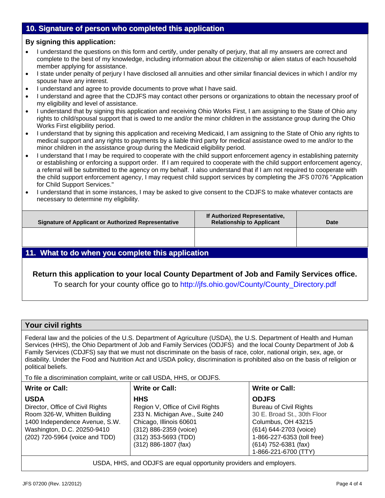## **10. Signature of person who completed this application**

### **By signing this application:**

- I understand the questions on this form and certify, under penalty of perjury, that all my answers are correct and complete to the best of my knowledge, including information about the citizenship or alien status of each household member applying for assistance.
- I state under penalty of perjury I have disclosed all annuities and other similar financial devices in which I and/or my spouse have any interest.
- I understand and agree to provide documents to prove what I have said.
- I understand and agree that the CDJFS may contact other persons or organizations to obtain the necessary proof of my eligibility and level of assistance.
- I understand that by signing this application and receiving Ohio Works First, I am assigning to the State of Ohio any rights to child/spousal support that is owed to me and/or the minor children in the assistance group during the Ohio Works First eligibility period.
- I understand that by signing this application and receiving Medicaid, I am assigning to the State of Ohio any rights to medical support and any rights to payments by a liable third party for medical assistance owed to me and/or to the minor children in the assistance group during the Medicaid eligibility period.
- I understand that I may be required to cooperate with the child support enforcement agency in establishing paternity or establishing or enforcing a support order. If I am required to cooperate with the child support enforcement agency, a referral will be submitted to the agency on my behalf. I also understand that if I am not required to cooperate with the child support enforcement agency, I may request child support services by completing the JFS 07076 "Application for Child Support Services."
- I understand that in some instances, I may be asked to give consent to the CDJFS to make whatever contacts are necessary to determine my eligibility.

| <b>Signature of Applicant or Authorized Representative</b> | If Authorized Representative,<br><b>Relationship to Applicant</b> | <b>Date</b> |  |  |
|------------------------------------------------------------|-------------------------------------------------------------------|-------------|--|--|
|                                                            |                                                                   |             |  |  |
| 11. What to do when you complete this application          |                                                                   |             |  |  |

## **Return this application to your local County Department of Job and Family Services office.**

To search for your county office go to http://jfs.ohio.gov/County/County\_Directory.pdf

## **Your civil rights**

Federal law and the policies of the U.S. Department of Agriculture (USDA), the U.S. Department of Health and Human Services (HHS), the Ohio Department of Job and Family Services (ODJFS) and the local County Department of Job & Family Services (CDJFS) say that we must not discriminate on the basis of race, color, national origin, sex, age, or disability. Under the Food and Nutrition Act and USDA policy, discrimination is prohibited also on the basis of religion or political beliefs.

To file a discrimination complaint, write or call USDA, HHS, or ODJFS.

| <b>Write or Call:</b>            | <b>Write or Call:</b>            | <b>Write or Call:</b>         |
|----------------------------------|----------------------------------|-------------------------------|
| <b>USDA</b>                      | <b>HHS</b>                       | <b>ODJFS</b>                  |
| Director, Office of Civil Rights | Region V, Office of Civil Rights | <b>Bureau of Civil Rights</b> |
| Room 326-W, Whitten Building     | 233 N. Michigan Ave., Suite 240  | 30 E. Broad St., 30th Floor   |
| 1400 Independence Avenue, S.W.   | Chicago, Illinois 60601          | Columbus, OH 43215            |
| Washington, D.C. 20250-9410      | (312) 886-2359 (voice)           | (614) 644-2703 (voice)        |
| (202) 720-5964 (voice and TDD)   | $(312)$ 353-5693 (TDD)           | 1-866-227-6353 (toll free)    |
|                                  | $(312)$ 886-1807 (fax)           | $(614)$ 752-6381 (fax)        |
|                                  |                                  | 1-866-221-6700 (TTY)          |

USDA, HHS, and ODJFS are equal opportunity providers and employers.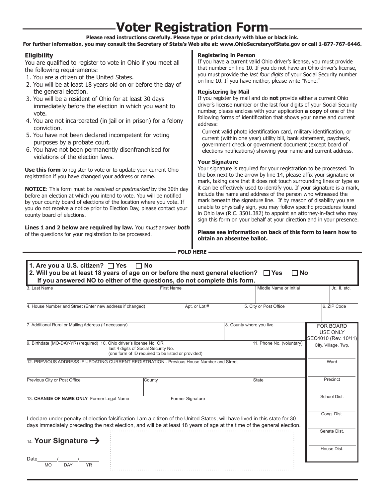# **Voter Registration Form**

#### **Please read instructions carefully. Please type or print clearly with blue or black ink.**

**For further information, you may consult the Secretary of State's Web site at: www.OhioSecretaryofState.gov or call 1-877-767-6446.**

### **Eligibility**

You are qualified to register to vote in Ohio if you meet all the following requirements:

- 1. You are a citizen of the United States.
- 2. You will be at least 18 years old on or before the day of the general election.
- 3. You will be a resident of Ohio for at least 30 days immediately before the election in which you want to vote.
- 4. You are not incarcerated (in jail or in prison) for a felony conviction.
- 5. You have not been declared incompetent for voting purposes by a probate court.
- 6. You have not been permanently disenfranchised for violations of the election laws.

**Use this form** to register to vote or to update your current Ohio registration if you have changed your address or name.

**NOTICE**: This form must be received or postmarked by the 30th day before an election at which you intend to vote. You will be notified by your county board of elections of the location where you vote. If you do not receive a notice prior to Election Day, please contact your county board of elections.

**Lines 1 and 2 below are required by law.** You must answer **both** of the questions for your registration to be processed.

**Registering in Person**

If you have a current valid Ohio driver's license, you must provide that number on line 10. If you do not have an Ohio driver's license, you must provide the last four digits of your Social Security number on line 10. If you have neither, please write "None."

### **Registering by Mail**

If you register by mail and do **not** provide either a current Ohio driver's license number or the last four digits of your Social Security number, please enclose with your application **a copy** of one of the following forms of identification that shows your name and current address:

Current valid photo identification card, military identification, or current (within one year) utility bill, bank statement, paycheck, government check or government document (except board of elections notifications) showing your name and current address.

### **Your Signature**

Your signature is required for your registration to be processed. In the box next to the arrow by line 14, please affix your signature or mark, taking care that it does not touch surrounding lines or type so it can be effectively used to identify you. If your signature is a mark, include the name and address of the person who witnessed the mark beneath the signature line. If by reason of disability you are unable to physically sign, you may follow specific procedures found in Ohio law (R.C. 3501.382) to appoint an attorney-in-fact who may sign this form on your behalf at your direction and in your presence.

**Please see information on back of this form to learn how to obtain an absentee ballot.**

**FOLD HERE**

| 3. Last Name                                                                                                                                                                                                                                           | <b>First Name</b> | Middle Name or Initial   | Jr., II, etc.                                               |  |
|--------------------------------------------------------------------------------------------------------------------------------------------------------------------------------------------------------------------------------------------------------|-------------------|--------------------------|-------------------------------------------------------------|--|
| 4. House Number and Street (Enter new address if changed)                                                                                                                                                                                              | Apt. or Lot #     | 5. City or Post Office   | 6. ZIP Code                                                 |  |
| 7. Additional Rural or Mailing Address (if necessary)                                                                                                                                                                                                  |                   | 8. County where you live | <b>FOR BOARD</b><br><b>USE ONLY</b><br>SEC4010 (Rev. 10/11) |  |
| 9. Birthdate (MO-DAY-YR) (required) 10. Ohio driver's license No. OR<br>11. Phone No. (voluntary)<br>last 4 digits of Social Security No.<br>(one form of ID required to be listed or provided)                                                        |                   |                          | City, Village, Twp.                                         |  |
| 12. PREVIOUS ADDRESS IF UPDATING CURRENT REGISTRATION - Previous House Number and Street                                                                                                                                                               |                   |                          | Ward                                                        |  |
| Previous City or Post Office                                                                                                                                                                                                                           | County            | <b>State</b>             | Precinct                                                    |  |
| 13. CHANGE OF NAME ONLY Former Legal Name                                                                                                                                                                                                              | Former Signature  |                          | School Dist.                                                |  |
| I declare under penalty of election falsification I am a citizen of the United States, will have lived in this state for 30<br>days immediately preceding the next election, and will be at least 18 years of age at the time of the general election. |                   |                          | Cong. Dist.                                                 |  |
| 14. Your Signature $\rightarrow$                                                                                                                                                                                                                       |                   |                          | Senate Dist.                                                |  |
| Date<br>DAY<br><b>YR</b>                                                                                                                                                                                                                               |                   |                          | House Dist.                                                 |  |